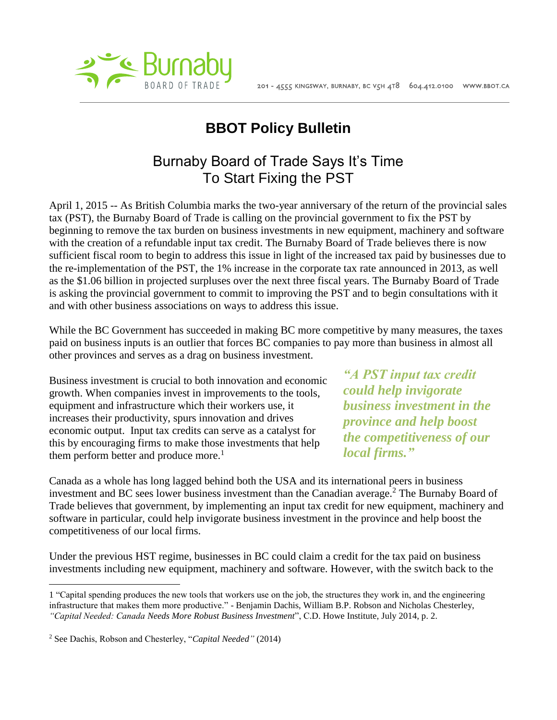

## **BBOT Policy Bulletin**

## Burnaby Board of Trade Says It's Time To Start Fixing the PST

April 1, 2015 -- As British Columbia marks the two-year anniversary of the return of the provincial sales tax (PST), the Burnaby Board of Trade is calling on the provincial government to fix the PST by beginning to remove the tax burden on business investments in new equipment, machinery and software with the creation of a refundable input tax credit. The Burnaby Board of Trade believes there is now sufficient fiscal room to begin to address this issue in light of the increased tax paid by businesses due to the re-implementation of the PST, the 1% increase in the corporate tax rate announced in 2013, as well as the \$1.06 billion in projected surpluses over the next three fiscal years. The Burnaby Board of Trade is asking the provincial government to commit to improving the PST and to begin consultations with it and with other business associations on ways to address this issue.

While the BC Government has succeeded in making BC more competitive by many measures, the taxes paid on business inputs is an outlier that forces BC companies to pay more than business in almost all other provinces and serves as a drag on business investment.

Business investment is crucial to both innovation and economic growth. When companies invest in improvements to the tools, equipment and infrastructure which their workers use, it increases their productivity, spurs innovation and drives economic output. Input tax credits can serve as a catalyst for this by encouraging firms to make those investments that help them perform better and produce more.<sup>1</sup>

*"A PST input tax credit could help invigorate business investment in the province and help boost the competitiveness of our local firms."*

Canada as a whole has long lagged behind both the USA and its international peers in business investment and BC sees lower business investment than the Canadian average. <sup>2</sup> The Burnaby Board of Trade believes that government, by implementing an input tax credit for new equipment, machinery and software in particular, could help invigorate business investment in the province and help boost the competitiveness of our local firms.

Under the previous HST regime, businesses in BC could claim a credit for the tax paid on business investments including new equipment, machinery and software. However, with the switch back to the

 $\overline{a}$ 

<sup>1</sup> "Capital spending produces the new tools that workers use on the job, the structures they work in, and the engineering infrastructure that makes them more productive." - Benjamin Dachis, William B.P. Robson and Nicholas Chesterley, *"Capital Needed: Canada Needs More Robust Business Investment*", C.D. Howe Institute, July 2014, p. 2.

<sup>2</sup> See Dachis, Robson and Chesterley, "*Capital Needed"* (2014)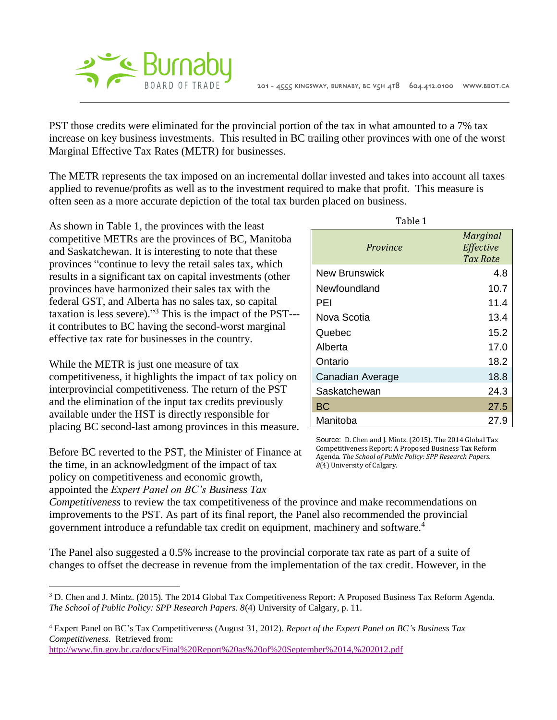

PST those credits were eliminated for the provincial portion of the tax in what amounted to a 7% tax increase on key business investments. This resulted in BC trailing other provinces with one of the worst Marginal Effective Tax Rates (METR) for businesses.

The METR represents the tax imposed on an incremental dollar invested and takes into account all taxes applied to revenue/profits as well as to the investment required to make that profit. This measure is often seen as a more accurate depiction of the total tax burden placed on business.

As shown in Table 1, the provinces with the least competitive METRs are the provinces of BC, Manitoba and Saskatchewan. It is interesting to note that these provinces "continue to levy the retail sales tax, which results in a significant tax on capital investments (other provinces have harmonized their sales tax with the federal GST, and Alberta has no sales tax, so capital taxation is less severe)." <sup>3</sup> This is the impact of the PST-- it contributes to BC having the second-worst marginal effective tax rate for businesses in the country.

While the METR is just one measure of tax competitiveness, it highlights the impact of tax policy on interprovincial competitiveness. The return of the PST and the elimination of the input tax credits previously available under the HST is directly responsible for placing BC second-last among provinces in this measure.

Before BC reverted to the PST, the Minister of Finance at the time, in an acknowledgment of the impact of tax policy on competitiveness and economic growth, appointed the *Expert Panel on BC's Business Tax* 

 $\overline{a}$ 

| Province         | <b>Marginal</b><br>Effective<br>Tax Rate |
|------------------|------------------------------------------|
| New Brunswick    | 4.8                                      |
| Newfoundland     | 10.7                                     |
| PEI              | 11.4                                     |
| Nova Scotia      | 13.4                                     |
| Quebec           | 15.2                                     |
| Alberta          | 17.0                                     |
| Ontario          | 18.2                                     |
| Canadian Average | 18.8                                     |
| Saskatchewan     | 24.3                                     |
| <b>BC</b>        | 27.5                                     |
| Manitoba         | 27.9                                     |

Source: D. Chen and J. Mintz. (2015). The 2014 Global Tax Competitiveness Report: A Proposed Business Tax Reform Agenda. *The School of Public Policy: SPP Research Papers. 8*(4) University of Calgary.

*Competitiveness* to review the tax competitiveness of the province and make recommendations on improvements to the PST. As part of its final report, the Panel also recommended the provincial government introduce a refundable tax credit on equipment, machinery and software.<sup>4</sup>

The Panel also suggested a 0.5% increase to the provincial corporate tax rate as part of a suite of changes to offset the decrease in revenue from the implementation of the tax credit. However, in the

<sup>4</sup> Expert Panel on BC's Tax Competitiveness (August 31, 2012). *Report of the Expert Panel on BC's Business Tax Competitiveness.* Retrieved from:

<http://www.fin.gov.bc.ca/docs/Final%20Report%20as%20of%20September%2014,%202012.pdf>

| able |
|------|
|------|

<sup>3</sup> D. Chen and J. Mintz. (2015). The 2014 Global Tax Competitiveness Report: A Proposed Business Tax Reform Agenda. *The School of Public Policy: SPP Research Papers. 8*(4) University of Calgary, p. 11.